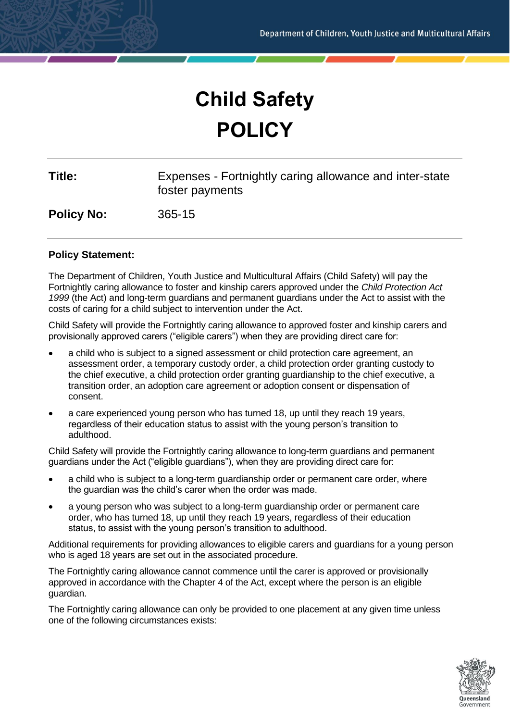# **Child Safety POLICY**

| Title:            | Expenses - Fortnightly caring allowance and inter-state<br>foster payments |
|-------------------|----------------------------------------------------------------------------|
| <b>Policy No:</b> | $365 - 15$                                                                 |

## **Policy Statement:**

The Department of Children, Youth Justice and Multicultural Affairs (Child Safety) will pay the Fortnightly caring allowance to foster and kinship carers approved under the *Child Protection Act 1999* (the Act) and long-term guardians and permanent guardians under the Act to assist with the costs of caring for a child subject to intervention under the Act.

Child Safety will provide the Fortnightly caring allowance to approved foster and kinship carers and provisionally approved carers ("eligible carers") when they are providing direct care for:

- a child who is subject to a signed assessment or child protection care agreement, an assessment order, a temporary custody order, a child protection order granting custody to the chief executive, a child protection order granting guardianship to the chief executive, a transition order, an adoption care agreement or adoption consent or dispensation of consent.
- a care experienced young person who has turned 18, up until they reach 19 years, regardless of their education status to assist with the young person's transition to adulthood.

Child Safety will provide the Fortnightly caring allowance to long-term guardians and permanent guardians under the Act ("eligible guardians"), when they are providing direct care for:

- a child who is subject to a long-term guardianship order or permanent care order, where the guardian was the child's carer when the order was made.
- a young person who was subject to a long-term guardianship order or permanent care order, who has turned 18, up until they reach 19 years, regardless of their education status, to assist with the young person's transition to adulthood.

Additional requirements for providing allowances to eligible carers and guardians for a young person who is aged 18 years are set out in the associated procedure.

The Fortnightly caring allowance cannot commence until the carer is approved or provisionally approved in accordance with the Chapter 4 of the Act, except where the person is an eligible guardian.

The Fortnightly caring allowance can only be provided to one placement at any given time unless one of the following circumstances exists:

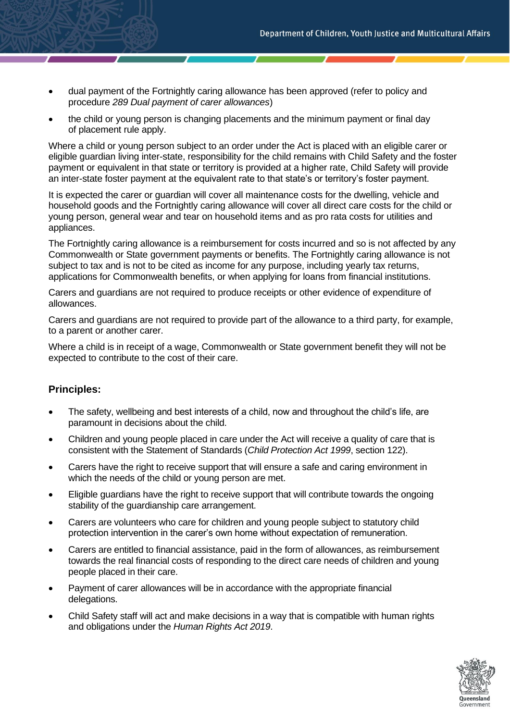- dual payment of the Fortnightly caring allowance has been approved (refer to policy and procedure *289 Dual payment of carer allowances*)
- the child or young person is changing placements and the minimum payment or final day of placement rule apply.

Where a child or young person subject to an order under the Act is placed with an eligible carer or eligible guardian living inter-state, responsibility for the child remains with Child Safety and the foster payment or equivalent in that state or territory is provided at a higher rate, Child Safety will provide an inter-state foster payment at the equivalent rate to that state's or territory's foster payment.

It is expected the carer or guardian will cover all maintenance costs for the dwelling, vehicle and household goods and the Fortnightly caring allowance will cover all direct care costs for the child or young person, general wear and tear on household items and as pro rata costs for utilities and appliances.

The Fortnightly caring allowance is a reimbursement for costs incurred and so is not affected by any Commonwealth or State government payments or benefits. The Fortnightly caring allowance is not subject to tax and is not to be cited as income for any purpose, including yearly tax returns, applications for Commonwealth benefits, or when applying for loans from financial institutions.

Carers and guardians are not required to produce receipts or other evidence of expenditure of allowances.

Carers and guardians are not required to provide part of the allowance to a third party, for example, to a parent or another carer.

Where a child is in receipt of a wage, Commonwealth or State government benefit they will not be expected to contribute to the cost of their care.

## **Principles:**

- The safety, wellbeing and best interests of a child, now and throughout the child's life, are paramount in decisions about the child.
- Children and young people placed in care under the Act will receive a quality of care that is consistent with the Statement of Standards (*Child Protection Act 1999*, section 122).
- Carers have the right to receive support that will ensure a safe and caring environment in which the needs of the child or young person are met.
- Eligible guardians have the right to receive support that will contribute towards the ongoing stability of the guardianship care arrangement.
- Carers are volunteers who care for children and young people subject to statutory child protection intervention in the carer's own home without expectation of remuneration.
- Carers are entitled to financial assistance, paid in the form of allowances, as reimbursement towards the real financial costs of responding to the direct care needs of children and young people placed in their care.
- Payment of carer allowances will be in accordance with the appropriate financial delegations.
- Child Safety staff will act and make decisions in a way that is compatible with human rights and obligations under the *Human Rights Act 2019*.

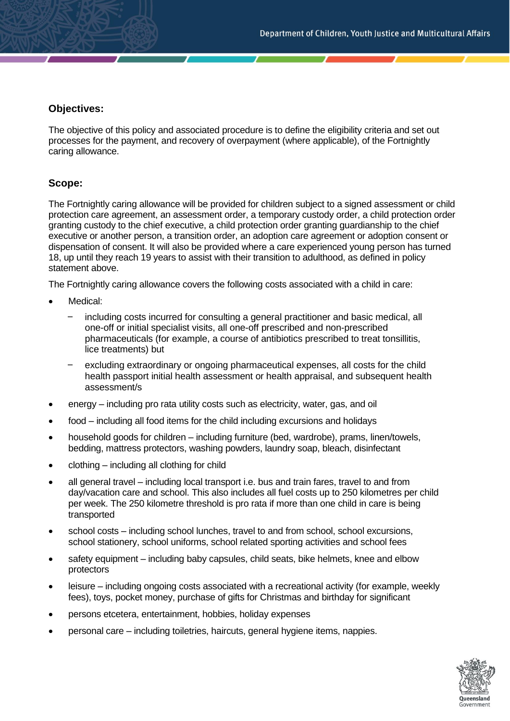## **Objectives:**

The objective of this policy and associated procedure is to define the eligibility criteria and set out processes for the payment, and recovery of overpayment (where applicable), of the Fortnightly caring allowance.

## **Scope:**

The Fortnightly caring allowance will be provided for children subject to a signed assessment or child protection care agreement, an assessment order, a temporary custody order, a child protection order granting custody to the chief executive, a child protection order granting guardianship to the chief executive or another person, a transition order, an adoption care agreement or adoption consent or dispensation of consent. It will also be provided where a care experienced young person has turned 18, up until they reach 19 years to assist with their transition to adulthood, as defined in policy statement above.

The Fortnightly caring allowance covers the following costs associated with a child in care:

- Medical:
	- including costs incurred for consulting a general practitioner and basic medical, all one-off or initial specialist visits, all one-off prescribed and non-prescribed pharmaceuticals (for example, a course of antibiotics prescribed to treat tonsillitis, lice treatments) but
	- excluding extraordinary or ongoing pharmaceutical expenses, all costs for the child health passport initial health assessment or health appraisal, and subsequent health assessment/s
- energy including pro rata utility costs such as electricity, water, gas, and oil
- food including all food items for the child including excursions and holidays
- household goods for children including furniture (bed, wardrobe), prams, linen/towels, bedding, mattress protectors, washing powders, laundry soap, bleach, disinfectant
- clothing including all clothing for child
- all general travel including local transport i.e. bus and train fares, travel to and from day/vacation care and school. This also includes all fuel costs up to 250 kilometres per child per week. The 250 kilometre threshold is pro rata if more than one child in care is being transported
- school costs including school lunches, travel to and from school, school excursions, school stationery, school uniforms, school related sporting activities and school fees
- safety equipment including baby capsules, child seats, bike helmets, knee and elbow protectors
- leisure including ongoing costs associated with a recreational activity (for example, weekly fees), toys, pocket money, purchase of gifts for Christmas and birthday for significant
- persons etcetera, entertainment, hobbies, holiday expenses
- personal care including toiletries, haircuts, general hygiene items, nappies.

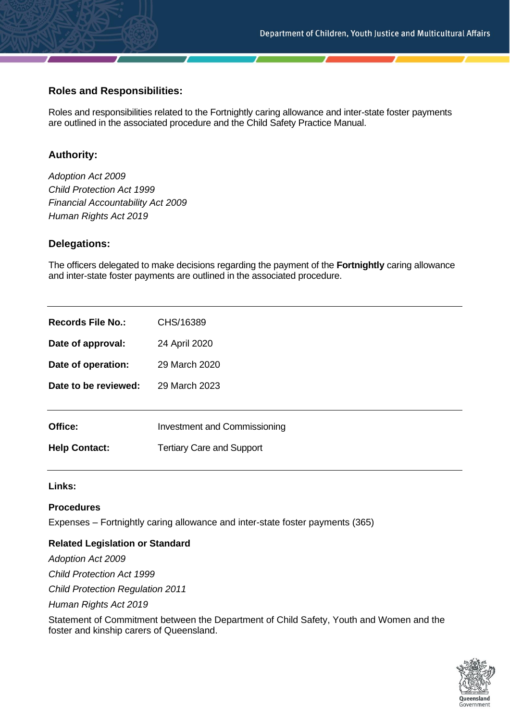## **Roles and Responsibilities:**

Roles and responsibilities related to the Fortnightly caring allowance and inter-state foster payments are outlined in the associated procedure and the Child Safety Practice Manual.

## **Authority:**

*Adoption Act 2009 Child Protection Act 1999 Financial Accountability Act 2009 Human Rights Act 2019*

### **Delegations:**

The officers delegated to make decisions regarding the payment of the **Fortnightly** caring allowance and inter-state foster payments are outlined in the associated procedure.

| <b>Records File No.:</b> | CHS/16389                           |
|--------------------------|-------------------------------------|
| Date of approval:        | 24 April 2020                       |
| Date of operation:       | 29 March 2020                       |
| Date to be reviewed:     | 29 March 2023                       |
|                          |                                     |
| Office:                  | <b>Investment and Commissioning</b> |
| <b>Help Contact:</b>     | <b>Tertiary Care and Support</b>    |

**Links:**

### **Procedures**

Expenses – Fortnightly caring allowance and inter-state foster payments (365)

### **Related Legislation or Standard**

*Adoption Act 2009 Child Protection Act 1999 Child Protection Regulation 2011 Human Rights Act 2019*

Statement of Commitment between the Department of Child Safety, Youth and Women and the foster and kinship carers of Queensland.